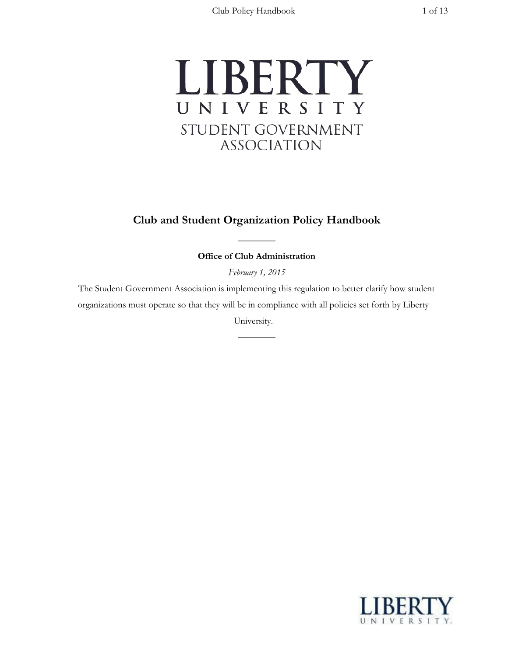

# **Club and Student Organization Policy Handbook**

———— **Office of Club Administration**

*February 1, 2015*

The Student Government Association is implementing this regulation to better clarify how student organizations must operate so that they will be in compliance with all policies set forth by Liberty

University.

————

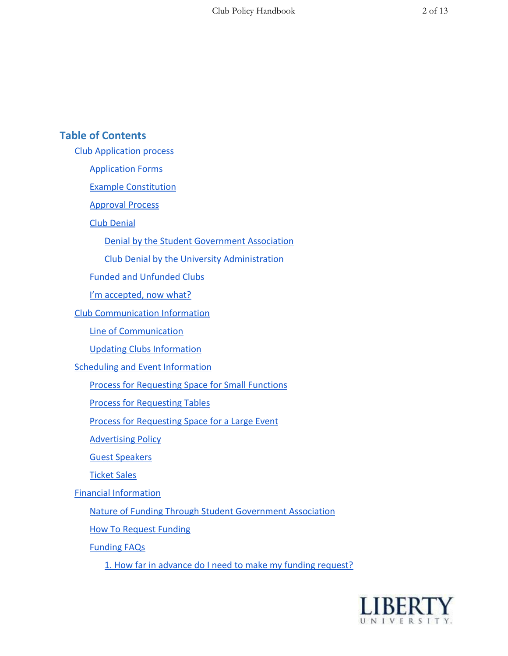# **Table of Contents**

Club [Application](#page-3-0) process

[Application](#page-3-1) Forms

Example [Constitution](#page-3-2)

[Approval](#page-3-3) Process

Club [Denial](#page-3-4)

Denial by the Student [Government](#page-3-5) Association

Club Denial by the University [Administration](#page-4-0)

Funded and [Unfunded](#page-5-0) Clubs

I'm [accepted,](#page-5-1) now what?

Club [Communication](#page-5-2) Information

Line of [Communication](#page-5-3)

Updating Clubs [Information](#page-6-0)

Scheduling and Event [Information](#page-6-1)

Process for [Requesting](#page-6-2) Space for Small Functions

Process for [Requesting](#page-8-0) Tables

Process for [Requesting](#page-8-1) Space for a Large Event

**[Advertising](#page-10-0) Policy** 

Guest [Speakers](#page-10-1)

[Ticket](#page-10-2) Sales

Financial [Information](#page-7-0)

Nature of Funding Through Student [Government](#page-10-3) Association

How To [Request](#page-11-0) Funding

[Funding](#page-11-1) FAQs

1. How far in advance do I need to make my funding [request?](#page-11-2)

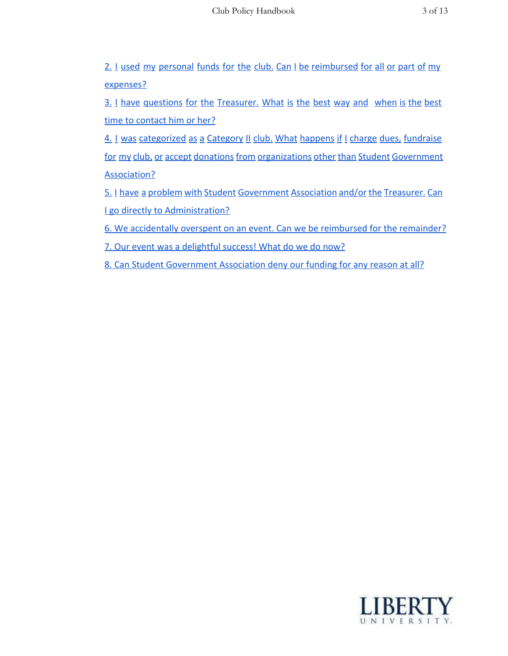2. I used my personal funds for the club. Can I be [reimbursed](#page-11-3) for all or part of my [expenses?](#page-11-3)

3. I have questions for the [Treasurer.](#page-11-4) What is the best way and when is the best time to [contact](#page-11-4) him or her?

4. I was [categorized](#page-11-5) as a Category II club. What happens if I charge dues, fundraise for my club, or accept donations from organizations other than Student Government [Association?](#page-11-5)

5. I have a problem with Student [Government](#page-12-0) Association and/or the Treasurer. Can I go directly to [Administration?](#page-12-0)

6. We [accidentally](#page-12-1) overspent on an event. Can we be reimbursed for the remainder?

7. Our event was a [delightful](#page-12-2) success! What do we do now?

8. Can Student [Government](#page-12-3) Association deny our funding for any reason at all?

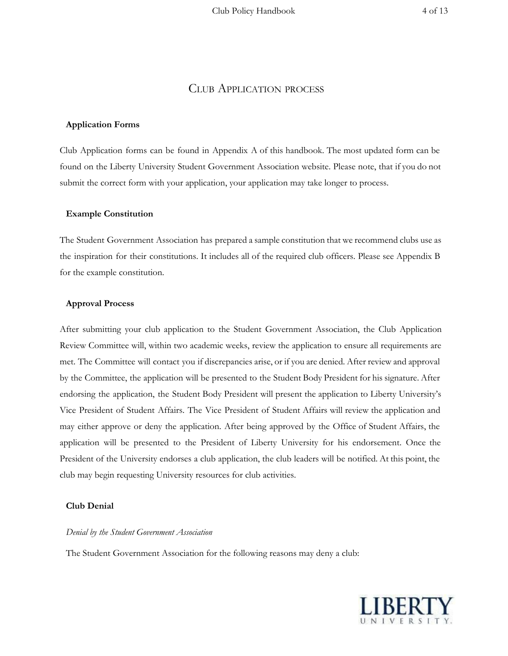## CLUB APPLICATION PROCESS

#### <span id="page-3-1"></span><span id="page-3-0"></span>**Application Forms**

Club Application forms can be found in Appendix A of this handbook. The most updated form can be found on the Liberty University Student Government Association website. Please note, that if you do not submit the correct form with your application, your application may take longer to process.

#### <span id="page-3-2"></span>**Example Constitution**

The Student Government Association has prepared a sample constitution that we recommend clubs use as the inspiration for their constitutions. It includes all of the required club officers. Please see Appendix B for the example constitution.

#### <span id="page-3-3"></span>**Approval Process**

After submitting your club application to the Student Government Association, the Club Application Review Committee will, within two academic weeks, review the application to ensure all requirements are met. The Committee will contact you if discrepancies arise, or if you are denied. After review and approval by the Committee, the application will be presented to the Student Body President for his signature. After endorsing the application, the Student Body President will present the application to Liberty University's Vice President of Student Affairs. The Vice President of Student Affairs will review the application and may either approve or deny the application. After being approved by the Office of Student Affairs, the application will be presented to the President of Liberty University for his endorsement. Once the President of the University endorses a club application, the club leaders will be notified. At this point, the club may begin requesting University resources for club activities.

### <span id="page-3-4"></span>**Club Denial**

#### <span id="page-3-5"></span>*Denial by the Student Government Association*

The Student Government Association for the following reasons may deny a club:

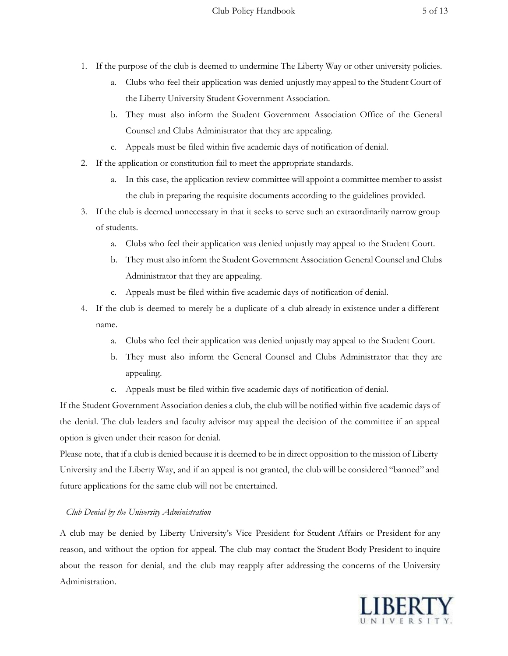- 1. If the purpose of the club is deemed to undermine The Liberty Way or other university policies.
	- a. Clubs who feel their application was denied unjustly may appeal to the Student Court of the Liberty University Student Government Association.
	- b. They must also inform the Student Government Association Office of the General Counsel and Clubs Administrator that they are appealing.
	- c. Appeals must be filed within five academic days of notification of denial.
- 2. If the application or constitution fail to meet the appropriate standards.
	- a. In this case, the application review committee will appoint a committee member to assist the club in preparing the requisite documents according to the guidelines provided.
- 3. If the club is deemed unnecessary in that it seeks to serve such an extraordinarily narrow group of students.
	- a. Clubs who feel their application was denied unjustly may appeal to the Student Court.
	- b. They must also inform the Student Government Association General Counsel and Clubs Administrator that they are appealing.
	- c. Appeals must be filed within five academic days of notification of denial.
- 4. If the club is deemed to merely be a duplicate of a club already in existence under a different name.
	- a. Clubs who feel their application was denied unjustly may appeal to the Student Court.
	- b. They must also inform the General Counsel and Clubs Administrator that they are appealing.
	- c. Appeals must be filed within five academic days of notification of denial.

If the Student Government Association denies a club, the club will be notified within five academic days of the denial. The club leaders and faculty advisor may appeal the decision of the committee if an appeal option is given under their reason for denial.

Please note, that if a club is denied because it is deemed to be in direct opposition to the mission of Liberty University and the Liberty Way, and if an appeal is not granted, the club will be considered "banned" and future applications for the same club will not be entertained.

## <span id="page-4-0"></span>*Club Denial by the University Administration*

A club may be denied by Liberty University's Vice President for Student Affairs or President for any reason, and without the option for appeal. The club may contact the Student Body President to inquire about the reason for denial, and the club may reapply after addressing the concerns of the University Administration.

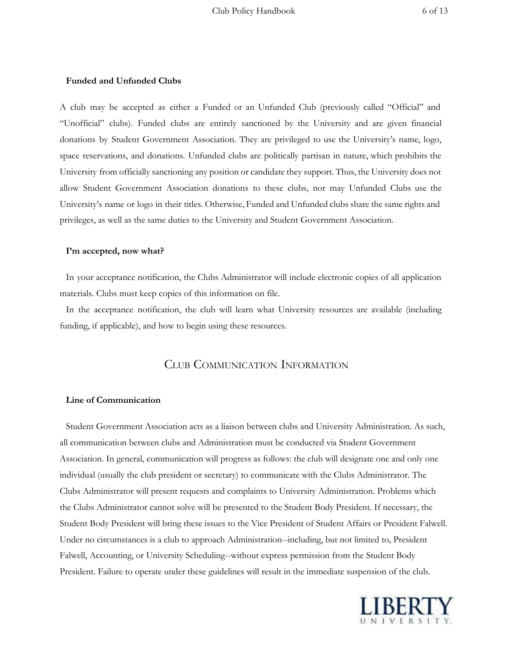### <span id="page-5-0"></span>**Funded and Unfunded Clubs**

A club may be accepted as either a Funded or an Unfunded Club (previously called "Official" and "Unofficial" clubs). Funded clubs are entirely sanctioned by the University and are given financial donations by Student Government Association. They are privileged to use the University's name, logo, space reservations, and donations. Unfunded clubs are politically partisan in nature, which prohibits the University from officially sanctioning any position or candidate they support. Thus, the University does not allow Student Government Association donations to these clubs, nor may Unfunded Clubs use the University's name or logo in their titles. Otherwise, Funded and Unfunded clubs share the same rights and privileges, as well as the same duties to the University and Student Government Association.

#### <span id="page-5-1"></span>**I'm accepted, now what?**

In your acceptance notification, the Clubs Administrator will include electronic copies of all application materials. Clubs must keep copies of this information on file.

<span id="page-5-2"></span>In the acceptance notification, the club will learn what University resources are available (including funding, if applicable), and how to begin using these resources.

## CLUB COMMUNICATION INFORMATION

#### <span id="page-5-3"></span>**Line of Communication**

Student Government Association acts as a liaison between clubs and University Administration. As such, all communication between clubs and Administration must be conducted via Student Government Association. In general, communication will progress as follows: the club will designate one and only one individual (usually the club president or secretary) to communicate with the Clubs Administrator. The Clubs Administrator will present requests and complaints to University Administration. Problems which the Clubs Administrator cannot solve will be presented to the Student Body President. If necessary, the Student Body President will bring these issues to the Vice President of Student Affairs or President Falwell. Under no circumstances is a club to approach Administration--including, but not limited to, President Falwell, Accounting, or University Scheduling--without express permission from the Student Body President. Failure to operate under these guidelines will result in the immediate suspension of the club.

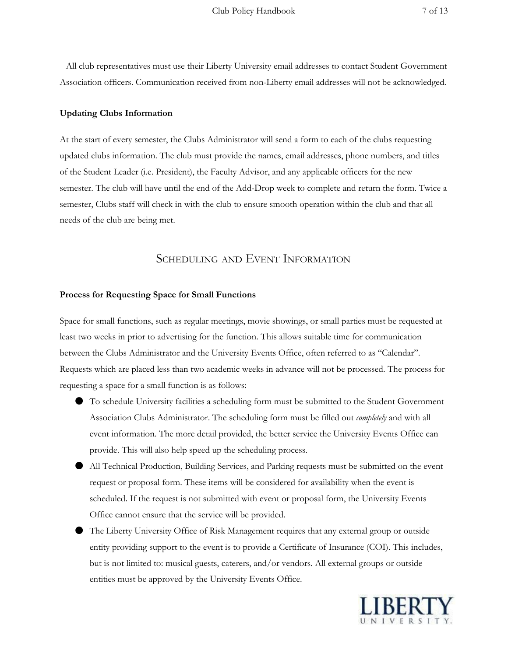All club representatives must use their Liberty University email addresses to contact Student Government Association officers. Communication received from non-Liberty email addresses will not be acknowledged.

## <span id="page-6-0"></span>**Updating Clubs Information**

At the start of every semester, the Clubs Administrator will send a form to each of the clubs requesting updated clubs information. The club must provide the names, email addresses, phone numbers, and titles of the Student Leader (i.e. President), the Faculty Advisor, and any applicable officers for the new semester. The club will have until the end of the Add-Drop week to complete and return the form. Twice a semester, Clubs staff will check in with the club to ensure smooth operation within the club and that all needs of the club are being met.

## SCHEDULING AND EVENT INFORMATION

#### <span id="page-6-2"></span><span id="page-6-1"></span>**Process for Requesting Space for Small Functions**

Space for small functions, such as regular meetings, movie showings, or small parties must be requested at least two weeks in prior to advertising for the function. This allows suitable time for communication between the Clubs Administrator and the University Events Office, often referred to as "Calendar". Requests which are placed less than two academic weeks in advance will not be processed. The process for requesting a space for a small function is as follows:

- To schedule University facilities a scheduling form must be submitted to the Student Government Association Clubs Administrator. The scheduling form must be filled out *completely* and with all event information. The more detail provided, the better service the University Events Office can provide. This will also help speed up the scheduling process.
- All Technical Production, Building Services, and Parking requests must be submitted on the event request or proposal form. These items will be considered for availability when the event is scheduled. If the request is not submitted with event or proposal form, the University Events Office cannot ensure that the service will be provided.
- The Liberty University Office of Risk Management requires that any external group or outside entity providing support to the event is to provide a Certificate of Insurance (COI). This includes, but is not limited to: musical guests, caterers, and/or vendors. All external groups or outside entities must be approved by the University Events Office.

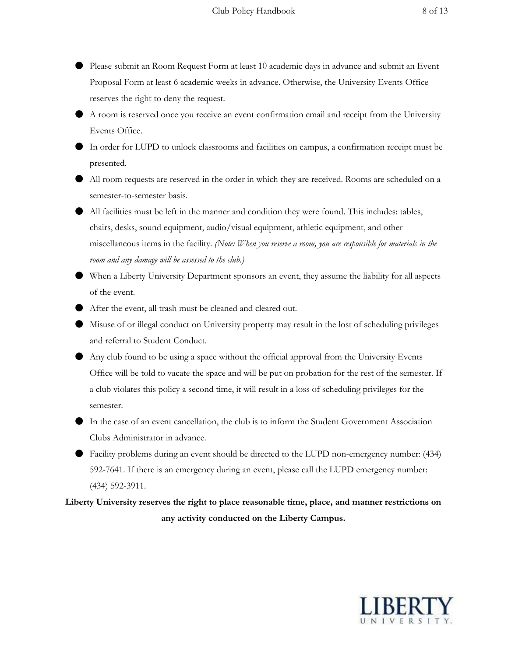- Please submit an Room Request Form at least 10 academic days in advance and submit an Event Proposal Form at least 6 academic weeks in advance. Otherwise, the University Events Office reserves the right to deny the request.
- A room is reserved once you receive an event confirmation email and receipt from the University Events Office.
- In order for LUPD to unlock classrooms and facilities on campus, a confirmation receipt must be presented.
- All room requests are reserved in the order in which they are received. Rooms are scheduled on a semester-to-semester basis.
- All facilities must be left in the manner and condition they were found. This includes: tables, chairs, desks, sound equipment, audio/visual equipment, athletic equipment, and other miscellaneous items in the facility. *(Note: When you reserve a room, you are responsible for materials in the room and any damage will be assessed to the club.)*
- When a Liberty University Department sponsors an event, they assume the liability for all aspects of the event.
- After the event, all trash must be cleaned and cleared out.
- Misuse of or illegal conduct on University property may result in the lost of scheduling privileges and referral to Student Conduct.
- Any club found to be using a space without the official approval from the University Events Office will be told to vacate the space and will be put on probation for the rest of the semester. If a club violates this policy a second time, it will result in a loss of scheduling privileges for the semester.
- In the case of an event cancellation, the club is to inform the Student Government Association Clubs Administrator in advance.
- Facility problems during an event should be directed to the LUPD non-emergency number: (434) 592-7641. If there is an emergency during an event, please call the LUPD emergency number: (434) 592-3911.

<span id="page-7-0"></span>**Liberty University reserves the right to place reasonable time, place, and manner restrictions on any activity conducted on the Liberty Campus.**

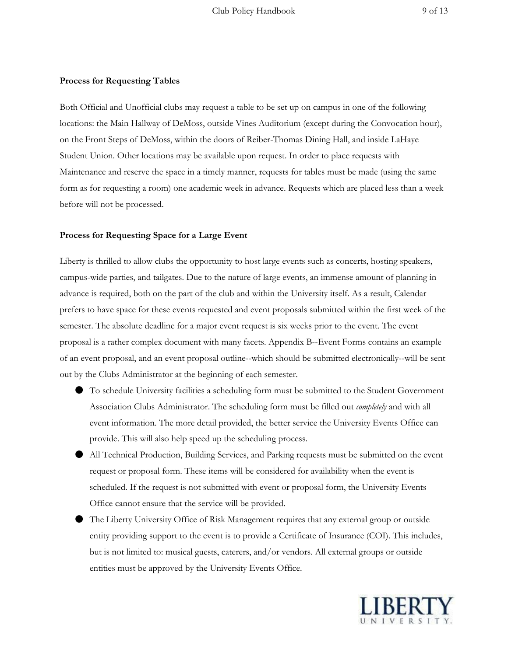## <span id="page-8-0"></span>**Process for Requesting Tables**

Both Official and Unofficial clubs may request a table to be set up on campus in one of the following locations: the Main Hallway of DeMoss, outside Vines Auditorium (except during the Convocation hour), on the Front Steps of DeMoss, within the doors of Reiber-Thomas Dining Hall, and inside LaHaye Student Union. Other locations may be available upon request. In order to place requests with Maintenance and reserve the space in a timely manner, requests for tables must be made (using the same form as for requesting a room) one academic week in advance. Requests which are placed less than a week before will not be processed.

#### <span id="page-8-1"></span>**Process for Requesting Space for a Large Event**

Liberty is thrilled to allow clubs the opportunity to host large events such as concerts, hosting speakers, campus-wide parties, and tailgates. Due to the nature of large events, an immense amount of planning in advance is required, both on the part of the club and within the University itself. As a result, Calendar prefers to have space for these events requested and event proposals submitted within the first week of the semester. The absolute deadline for a major event request is six weeks prior to the event. The event proposal is a rather complex document with many facets. Appendix B--Event Forms contains an example of an event proposal, and an event proposal outline--which should be submitted electronically--will be sent out by the Clubs Administrator at the beginning of each semester.

- To schedule University facilities a scheduling form must be submitted to the Student Government Association Clubs Administrator. The scheduling form must be filled out *completely* and with all event information. The more detail provided, the better service the University Events Office can provide. This will also help speed up the scheduling process.
- All Technical Production, Building Services, and Parking requests must be submitted on the event request or proposal form. These items will be considered for availability when the event is scheduled. If the request is not submitted with event or proposal form, the University Events Office cannot ensure that the service will be provided.
- The Liberty University Office of Risk Management requires that any external group or outside entity providing support to the event is to provide a Certificate of Insurance (COI). This includes, but is not limited to: musical guests, caterers, and/or vendors. All external groups or outside entities must be approved by the University Events Office.

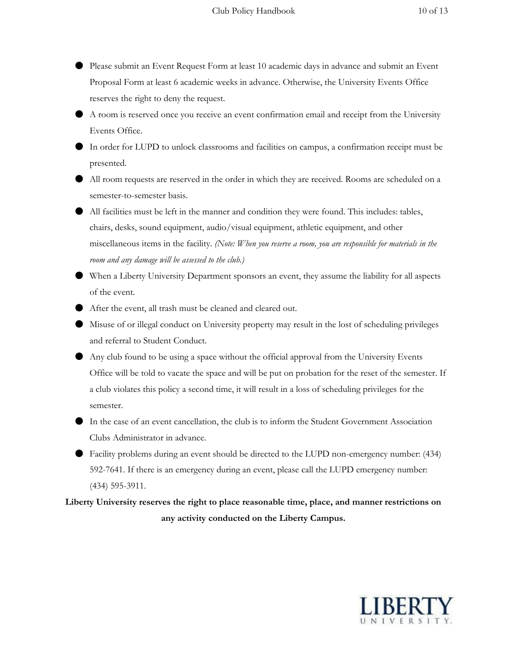- Please submit an Event Request Form at least 10 academic days in advance and submit an Event Proposal Form at least 6 academic weeks in advance. Otherwise, the University Events Office reserves the right to deny the request.
- A room is reserved once you receive an event confirmation email and receipt from the University Events Office.
- In order for LUPD to unlock classrooms and facilities on campus, a confirmation receipt must be presented.
- All room requests are reserved in the order in which they are received. Rooms are scheduled on a semester-to-semester basis.
- All facilities must be left in the manner and condition they were found. This includes: tables, chairs, desks, sound equipment, audio/visual equipment, athletic equipment, and other miscellaneous items in the facility. *(Note: When you reserve a room, you are responsible for materials in the room and any damage will be assessed to the club.)*
- When a Liberty University Department sponsors an event, they assume the liability for all aspects of the event.
- After the event, all trash must be cleaned and cleared out.
- Misuse of or illegal conduct on University property may result in the lost of scheduling privileges and referral to Student Conduct.
- Any club found to be using a space without the official approval from the University Events Office will be told to vacate the space and will be put on probation for the reset of the semester. If a club violates this policy a second time, it will result in a loss of scheduling privileges for the semester.
- In the case of an event cancellation, the club is to inform the Student Government Association Clubs Administrator in advance.
- Facility problems during an event should be directed to the LUPD non-emergency number: (434) 592-7641. If there is an emergency during an event, please call the LUPD emergency number: (434) 595-3911.

**Liberty University reserves the right to place reasonable time, place, and manner restrictions on any activity conducted on the Liberty Campus.**

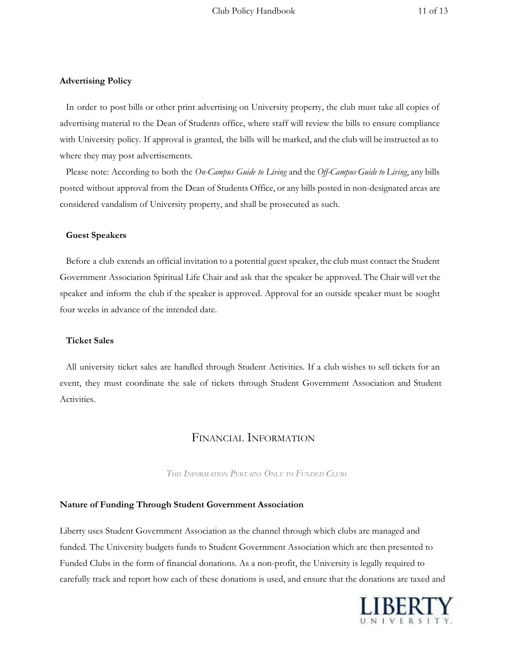## <span id="page-10-0"></span>**Advertising Policy**

In order to post bills or other print advertising on University property, the club must take all copies of advertising material to the Dean of Students office, where staff will review the bills to ensure compliance with University policy. If approval is granted, the bills will be marked, and the club will be instructed as to where they may post advertisements.

Please note: According to both the *On-Campus Guide to Living* and the *Of -Campus Guide to Living*, any bills posted without approval from the Dean of Students Office, or any bills posted in non-designated areas are considered vandalism of University property, and shall be prosecuted as such.

#### <span id="page-10-1"></span>**Guest Speakers**

Before a club extends an official invitation to a potential guest speaker, the club must contact the Student Government Association Spiritual Life Chair and ask that the speaker be approved. The Chair will vet the speaker and inform the club if the speaker is approved. Approval for an outside speaker must be sought four weeks in advance of the intended date.

#### <span id="page-10-2"></span>**Ticket Sales**

All university ticket sales are handled through Student Activities. If a club wishes to sell tickets for an event, they must coordinate the sale of tickets through Student Government Association and Student Activities.

## FINANCIAL INFORMATION

*THIS INFORMATION PERTAINS ONLY TO FUNDED CLUBS*

#### <span id="page-10-3"></span>**Nature of Funding Through Student Government Association**

Liberty uses Student Government Association as the channel through which clubs are managed and funded. The University budgets funds to Student Government Association which are then presented to Funded Clubs in the form of financial donations. As a non-profit, the University is legally required to carefully track and report how each of these donations is used, and ensure that the donations are taxed and

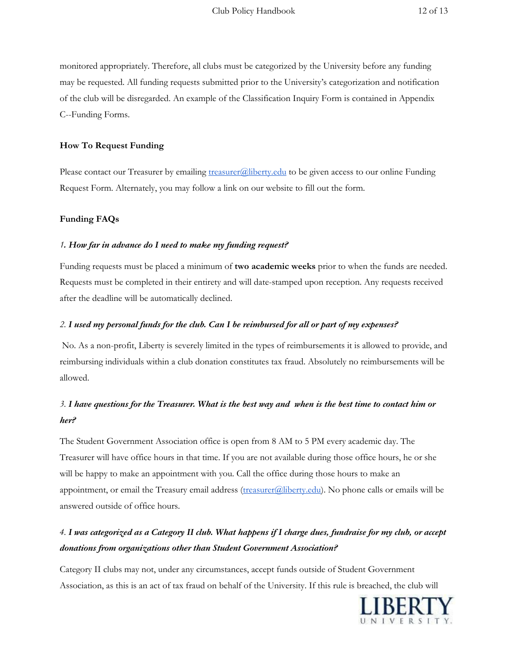monitored appropriately. Therefore, all clubs must be categorized by the University before any funding may be requested. All funding requests submitted prior to the University's categorization and notification of the club will be disregarded. An example of the Classification Inquiry Form is contained in Appendix C--Funding Forms.

## <span id="page-11-0"></span>**How To Request Funding**

Please contact our Treasurer by emailing [treasurer@liberty.edu](mailto:treasurer@liberty.edu) to be given access to our online Funding Request Form. Alternately, you may follow a link on our website to fill out the form.

## <span id="page-11-1"></span>**Funding FAQs**

## <span id="page-11-2"></span>*1. How far in advance do I need to make my funding request?*

Funding requests must be placed a minimum of **two academic weeks**prior to when the funds are needed. Requests must be completed in their entirety and will date-stamped upon reception. Any requests received after the deadline will be automatically declined.

## <span id="page-11-3"></span>2. I used my personal funds for the club. Can I be reimbursed for all or part of my expenses?

No. As a non-profit, Liberty is severely limited in the types of reimbursements it is allowed to provide, and reimbursing individuals within a club donation constitutes tax fraud. Absolutely no reimbursements will be allowed.

# <span id="page-11-4"></span>3. I have questions for the Treasurer. What is the best way and when is the best time to contact him or *her?*

The Student Government Association office is open from 8 AM to 5 PM every academic day. The Treasurer will have office hours in that time. If you are not available during those office hours, he or she will be happy to make an appointment with you. Call the office during those hours to make an appointment, or email the Treasury email address [\(treasurer@liberty.edu\)](mailto:treasurer@liberty.edu). No phone calls or emails will be answered outside of office hours.

# <span id="page-11-5"></span>4. I was categorized as a Category II club. What happens if I charge dues, fundraise for my club, or accept *donations from organizations other than Student Government Association?*

Category II clubs may not, under any circumstances, accept funds outside of Student Government Association, as this is an act of tax fraud on behalf of the University. If this rule is breached, the club will